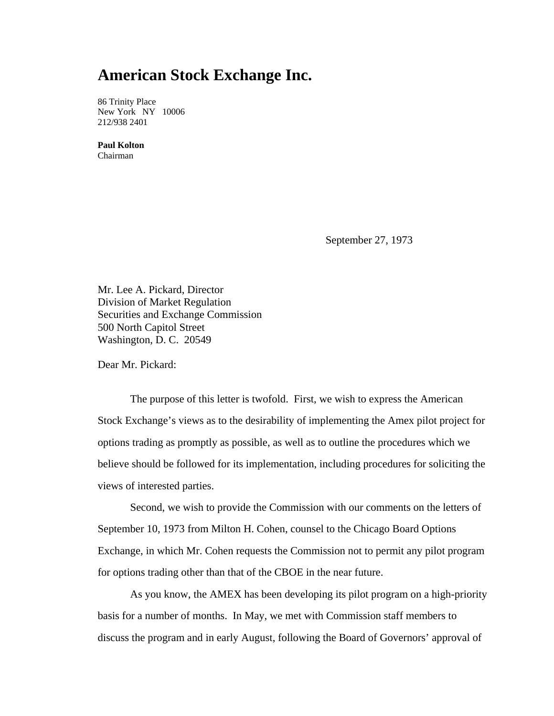## **American Stock Exchange Inc.**

86 Trinity Place New York NY 10006 212/938 2401

**Paul Kolton**  Chairman

September 27, 1973

Mr. Lee A. Pickard, Director Division of Market Regulation Securities and Exchange Commission 500 North Capitol Street Washington, D. C. 20549

Dear Mr. Pickard:

The purpose of this letter is twofold. First, we wish to express the American Stock Exchange's views as to the desirability of implementing the Amex pilot project for options trading as promptly as possible, as well as to outline the procedures which we believe should be followed for its implementation, including procedures for soliciting the views of interested parties.

Second, we wish to provide the Commission with our comments on the letters of September 10, 1973 from Milton H. Cohen, counsel to the Chicago Board Options Exchange, in which Mr. Cohen requests the Commission not to permit any pilot program for options trading other than that of the CBOE in the near future.

As you know, the AMEX has been developing its pilot program on a high-priority basis for a number of months. In May, we met with Commission staff members to discuss the program and in early August, following the Board of Governors' approval of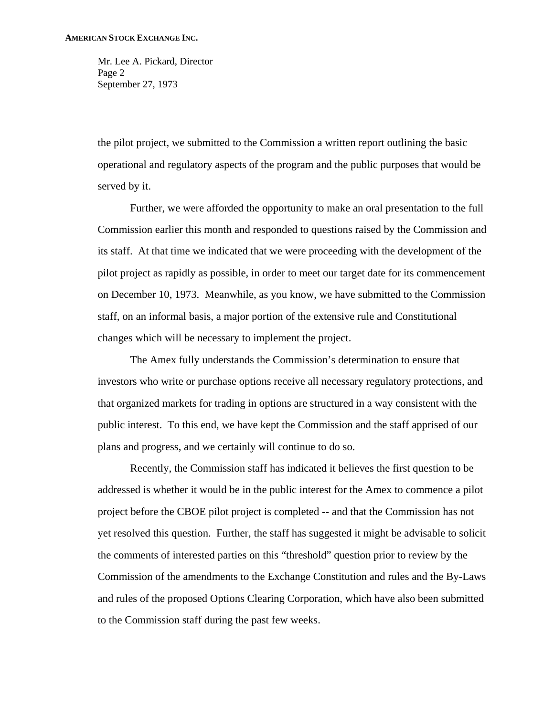Mr. Lee A. Pickard, Director Page 2 September 27, 1973

the pilot project, we submitted to the Commission a written report outlining the basic operational and regulatory aspects of the program and the public purposes that would be served by it.

 Further, we were afforded the opportunity to make an oral presentation to the full Commission earlier this month and responded to questions raised by the Commission and its staff. At that time we indicated that we were proceeding with the development of the pilot project as rapidly as possible, in order to meet our target date for its commencement on December 10, 1973. Meanwhile, as you know, we have submitted to the Commission staff, on an informal basis, a major portion of the extensive rule and Constitutional changes which will be necessary to implement the project.

 The Amex fully understands the Commission's determination to ensure that investors who write or purchase options receive all necessary regulatory protections, and that organized markets for trading in options are structured in a way consistent with the public interest. To this end, we have kept the Commission and the staff apprised of our plans and progress, and we certainly will continue to do so.

 Recently, the Commission staff has indicated it believes the first question to be addressed is whether it would be in the public interest for the Amex to commence a pilot project before the CBOE pilot project is completed -- and that the Commission has not yet resolved this question. Further, the staff has suggested it might be advisable to solicit the comments of interested parties on this "threshold" question prior to review by the Commission of the amendments to the Exchange Constitution and rules and the By-Laws and rules of the proposed Options Clearing Corporation, which have also been submitted to the Commission staff during the past few weeks.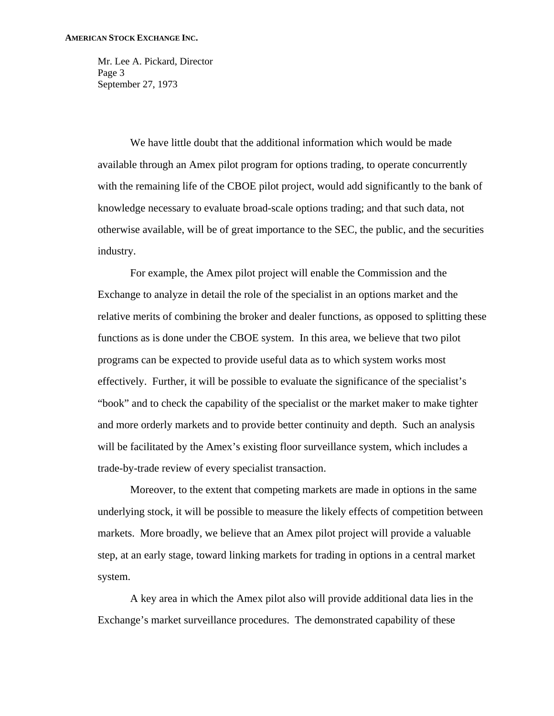Mr. Lee A. Pickard, Director Page 3 September 27, 1973

 We have little doubt that the additional information which would be made available through an Amex pilot program for options trading, to operate concurrently with the remaining life of the CBOE pilot project, would add significantly to the bank of knowledge necessary to evaluate broad-scale options trading; and that such data, not otherwise available, will be of great importance to the SEC, the public, and the securities industry.

 For example, the Amex pilot project will enable the Commission and the Exchange to analyze in detail the role of the specialist in an options market and the relative merits of combining the broker and dealer functions, as opposed to splitting these functions as is done under the CBOE system. In this area, we believe that two pilot programs can be expected to provide useful data as to which system works most effectively. Further, it will be possible to evaluate the significance of the specialist's "book" and to check the capability of the specialist or the market maker to make tighter and more orderly markets and to provide better continuity and depth. Such an analysis will be facilitated by the Amex's existing floor surveillance system, which includes a trade-by-trade review of every specialist transaction.

 Moreover, to the extent that competing markets are made in options in the same underlying stock, it will be possible to measure the likely effects of competition between markets. More broadly, we believe that an Amex pilot project will provide a valuable step, at an early stage, toward linking markets for trading in options in a central market system.

 A key area in which the Amex pilot also will provide additional data lies in the Exchange's market surveillance procedures. The demonstrated capability of these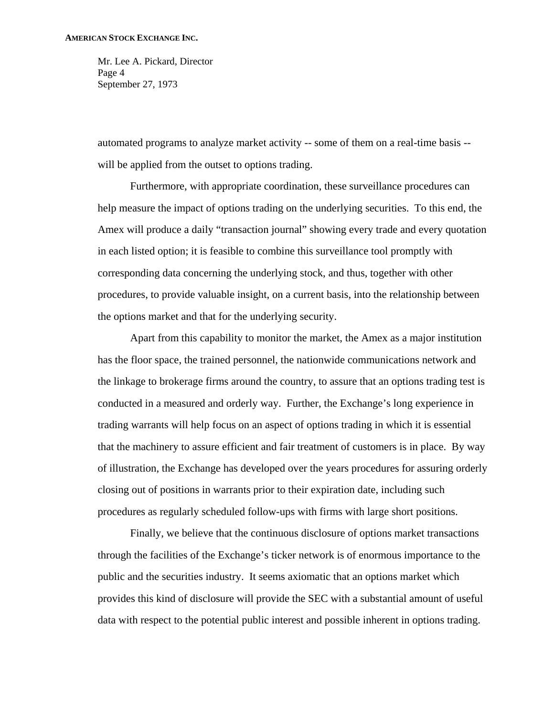Mr. Lee A. Pickard, Director Page 4 September 27, 1973

automated programs to analyze market activity -- some of them on a real-time basis - will be applied from the outset to options trading.

 Furthermore, with appropriate coordination, these surveillance procedures can help measure the impact of options trading on the underlying securities. To this end, the Amex will produce a daily "transaction journal" showing every trade and every quotation in each listed option; it is feasible to combine this surveillance tool promptly with corresponding data concerning the underlying stock, and thus, together with other procedures, to provide valuable insight, on a current basis, into the relationship between the options market and that for the underlying security.

 Apart from this capability to monitor the market, the Amex as a major institution has the floor space, the trained personnel, the nationwide communications network and the linkage to brokerage firms around the country, to assure that an options trading test is conducted in a measured and orderly way. Further, the Exchange's long experience in trading warrants will help focus on an aspect of options trading in which it is essential that the machinery to assure efficient and fair treatment of customers is in place. By way of illustration, the Exchange has developed over the years procedures for assuring orderly closing out of positions in warrants prior to their expiration date, including such procedures as regularly scheduled follow-ups with firms with large short positions.

 Finally, we believe that the continuous disclosure of options market transactions through the facilities of the Exchange's ticker network is of enormous importance to the public and the securities industry. It seems axiomatic that an options market which provides this kind of disclosure will provide the SEC with a substantial amount of useful data with respect to the potential public interest and possible inherent in options trading.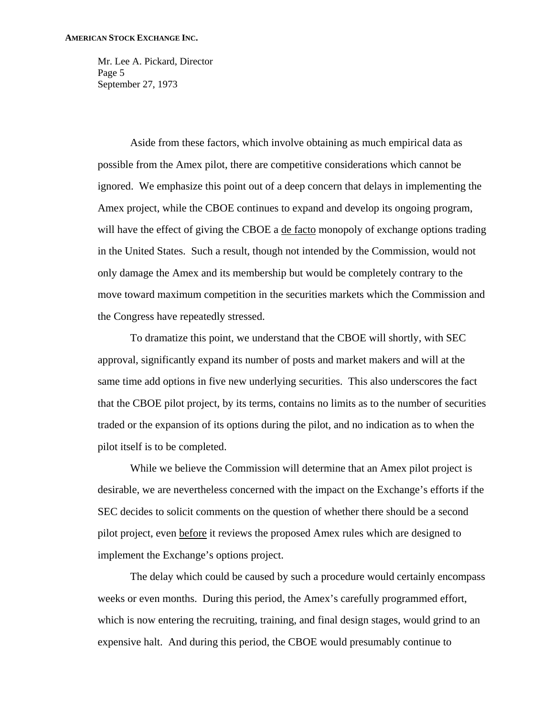Mr. Lee A. Pickard, Director Page 5 September 27, 1973

 Aside from these factors, which involve obtaining as much empirical data as possible from the Amex pilot, there are competitive considerations which cannot be ignored. We emphasize this point out of a deep concern that delays in implementing the Amex project, while the CBOE continues to expand and develop its ongoing program, will have the effect of giving the CBOE a de facto monopoly of exchange options trading in the United States. Such a result, though not intended by the Commission, would not only damage the Amex and its membership but would be completely contrary to the move toward maximum competition in the securities markets which the Commission and the Congress have repeatedly stressed.

 To dramatize this point, we understand that the CBOE will shortly, with SEC approval, significantly expand its number of posts and market makers and will at the same time add options in five new underlying securities. This also underscores the fact that the CBOE pilot project, by its terms, contains no limits as to the number of securities traded or the expansion of its options during the pilot, and no indication as to when the pilot itself is to be completed.

 While we believe the Commission will determine that an Amex pilot project is desirable, we are nevertheless concerned with the impact on the Exchange's efforts if the SEC decides to solicit comments on the question of whether there should be a second pilot project, even before it reviews the proposed Amex rules which are designed to implement the Exchange's options project.

 The delay which could be caused by such a procedure would certainly encompass weeks or even months. During this period, the Amex's carefully programmed effort, which is now entering the recruiting, training, and final design stages, would grind to an expensive halt. And during this period, the CBOE would presumably continue to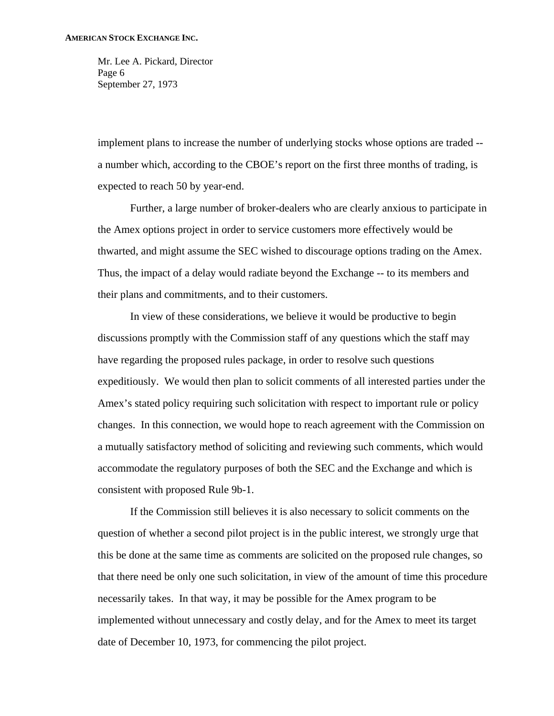Mr. Lee A. Pickard, Director Page 6 September 27, 1973

implement plans to increase the number of underlying stocks whose options are traded - a number which, according to the CBOE's report on the first three months of trading, is expected to reach 50 by year-end.

 Further, a large number of broker-dealers who are clearly anxious to participate in the Amex options project in order to service customers more effectively would be thwarted, and might assume the SEC wished to discourage options trading on the Amex. Thus, the impact of a delay would radiate beyond the Exchange -- to its members and their plans and commitments, and to their customers.

 In view of these considerations, we believe it would be productive to begin discussions promptly with the Commission staff of any questions which the staff may have regarding the proposed rules package, in order to resolve such questions expeditiously. We would then plan to solicit comments of all interested parties under the Amex's stated policy requiring such solicitation with respect to important rule or policy changes. In this connection, we would hope to reach agreement with the Commission on a mutually satisfactory method of soliciting and reviewing such comments, which would accommodate the regulatory purposes of both the SEC and the Exchange and which is consistent with proposed Rule 9b-1.

 If the Commission still believes it is also necessary to solicit comments on the question of whether a second pilot project is in the public interest, we strongly urge that this be done at the same time as comments are solicited on the proposed rule changes, so that there need be only one such solicitation, in view of the amount of time this procedure necessarily takes. In that way, it may be possible for the Amex program to be implemented without unnecessary and costly delay, and for the Amex to meet its target date of December 10, 1973, for commencing the pilot project.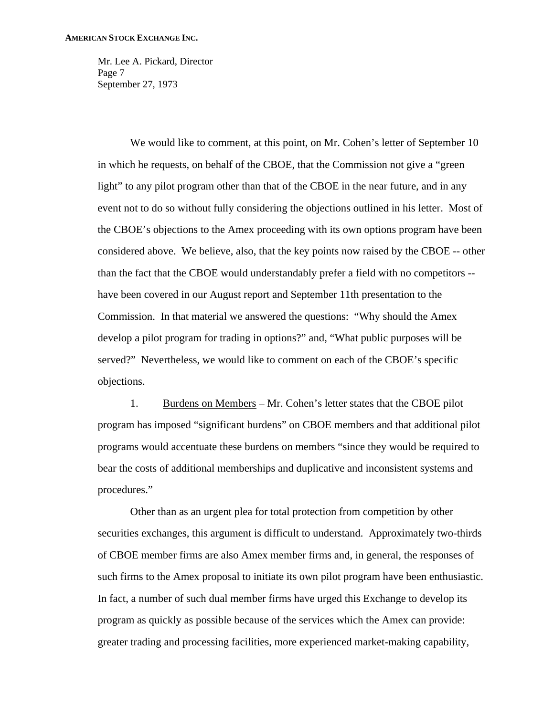Mr. Lee A. Pickard, Director Page 7 September 27, 1973

 We would like to comment, at this point, on Mr. Cohen's letter of September 10 in which he requests, on behalf of the CBOE, that the Commission not give a "green light" to any pilot program other than that of the CBOE in the near future, and in any event not to do so without fully considering the objections outlined in his letter. Most of the CBOE's objections to the Amex proceeding with its own options program have been considered above. We believe, also, that the key points now raised by the CBOE -- other than the fact that the CBOE would understandably prefer a field with no competitors - have been covered in our August report and September 11th presentation to the Commission. In that material we answered the questions: "Why should the Amex develop a pilot program for trading in options?" and, "What public purposes will be served?" Nevertheless, we would like to comment on each of the CBOE's specific objections.

 1. Burdens on Members – Mr. Cohen's letter states that the CBOE pilot program has imposed "significant burdens" on CBOE members and that additional pilot programs would accentuate these burdens on members "since they would be required to bear the costs of additional memberships and duplicative and inconsistent systems and procedures."

 Other than as an urgent plea for total protection from competition by other securities exchanges, this argument is difficult to understand. Approximately two-thirds of CBOE member firms are also Amex member firms and, in general, the responses of such firms to the Amex proposal to initiate its own pilot program have been enthusiastic. In fact, a number of such dual member firms have urged this Exchange to develop its program as quickly as possible because of the services which the Amex can provide: greater trading and processing facilities, more experienced market-making capability,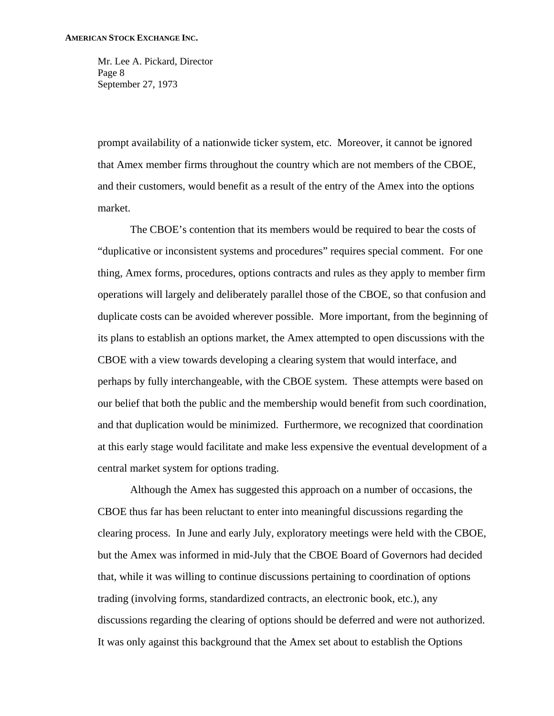Mr. Lee A. Pickard, Director Page 8 September 27, 1973

prompt availability of a nationwide ticker system, etc. Moreover, it cannot be ignored that Amex member firms throughout the country which are not members of the CBOE, and their customers, would benefit as a result of the entry of the Amex into the options market.

 The CBOE's contention that its members would be required to bear the costs of "duplicative or inconsistent systems and procedures" requires special comment. For one thing, Amex forms, procedures, options contracts and rules as they apply to member firm operations will largely and deliberately parallel those of the CBOE, so that confusion and duplicate costs can be avoided wherever possible. More important, from the beginning of its plans to establish an options market, the Amex attempted to open discussions with the CBOE with a view towards developing a clearing system that would interface, and perhaps by fully interchangeable, with the CBOE system. These attempts were based on our belief that both the public and the membership would benefit from such coordination, and that duplication would be minimized. Furthermore, we recognized that coordination at this early stage would facilitate and make less expensive the eventual development of a central market system for options trading.

 Although the Amex has suggested this approach on a number of occasions, the CBOE thus far has been reluctant to enter into meaningful discussions regarding the clearing process. In June and early July, exploratory meetings were held with the CBOE, but the Amex was informed in mid-July that the CBOE Board of Governors had decided that, while it was willing to continue discussions pertaining to coordination of options trading (involving forms, standardized contracts, an electronic book, etc.), any discussions regarding the clearing of options should be deferred and were not authorized. It was only against this background that the Amex set about to establish the Options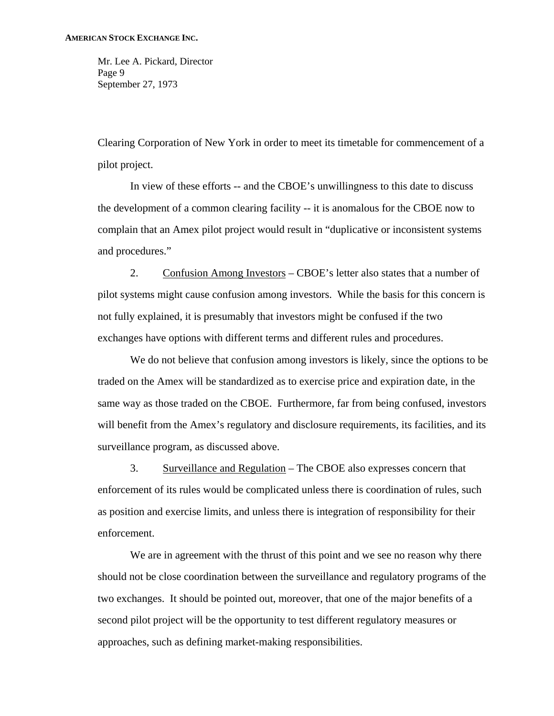Mr. Lee A. Pickard, Director Page 9 September 27, 1973

Clearing Corporation of New York in order to meet its timetable for commencement of a pilot project.

In view of these efforts -- and the CBOE's unwillingness to this date to discuss the development of a common clearing facility -- it is anomalous for the CBOE now to complain that an Amex pilot project would result in "duplicative or inconsistent systems and procedures."

2. Confusion Among Investors – CBOE's letter also states that a number of pilot systems might cause confusion among investors. While the basis for this concern is not fully explained, it is presumably that investors might be confused if the two exchanges have options with different terms and different rules and procedures.

We do not believe that confusion among investors is likely, since the options to be traded on the Amex will be standardized as to exercise price and expiration date, in the same way as those traded on the CBOE. Furthermore, far from being confused, investors will benefit from the Amex's regulatory and disclosure requirements, its facilities, and its surveillance program, as discussed above.

3. Surveillance and Regulation – The CBOE also expresses concern that enforcement of its rules would be complicated unless there is coordination of rules, such as position and exercise limits, and unless there is integration of responsibility for their enforcement.

We are in agreement with the thrust of this point and we see no reason why there should not be close coordination between the surveillance and regulatory programs of the two exchanges. It should be pointed out, moreover, that one of the major benefits of a second pilot project will be the opportunity to test different regulatory measures or approaches, such as defining market-making responsibilities.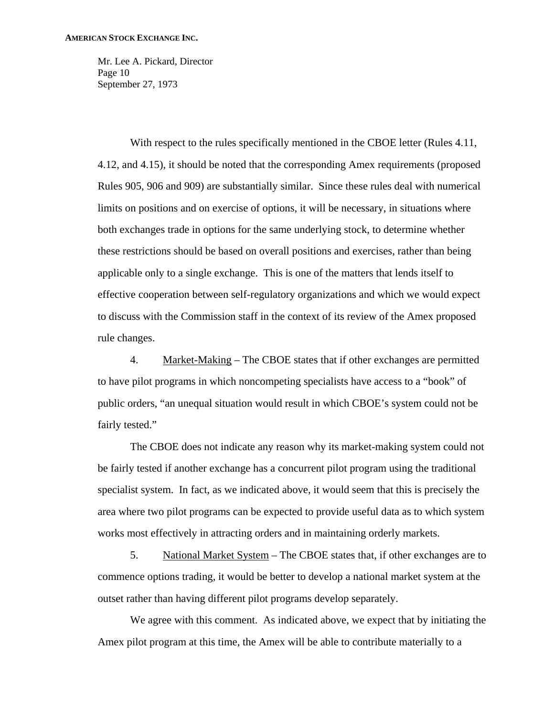Mr. Lee A. Pickard, Director Page 10 September 27, 1973

With respect to the rules specifically mentioned in the CBOE letter (Rules 4.11, 4.12, and 4.15), it should be noted that the corresponding Amex requirements (proposed Rules 905, 906 and 909) are substantially similar. Since these rules deal with numerical limits on positions and on exercise of options, it will be necessary, in situations where both exchanges trade in options for the same underlying stock, to determine whether these restrictions should be based on overall positions and exercises, rather than being applicable only to a single exchange. This is one of the matters that lends itself to effective cooperation between self-regulatory organizations and which we would expect to discuss with the Commission staff in the context of its review of the Amex proposed rule changes.

4. Market-Making – The CBOE states that if other exchanges are permitted to have pilot programs in which noncompeting specialists have access to a "book" of public orders, "an unequal situation would result in which CBOE's system could not be fairly tested."

The CBOE does not indicate any reason why its market-making system could not be fairly tested if another exchange has a concurrent pilot program using the traditional specialist system. In fact, as we indicated above, it would seem that this is precisely the area where two pilot programs can be expected to provide useful data as to which system works most effectively in attracting orders and in maintaining orderly markets.

5. National Market System – The CBOE states that, if other exchanges are to commence options trading, it would be better to develop a national market system at the outset rather than having different pilot programs develop separately.

We agree with this comment. As indicated above, we expect that by initiating the Amex pilot program at this time, the Amex will be able to contribute materially to a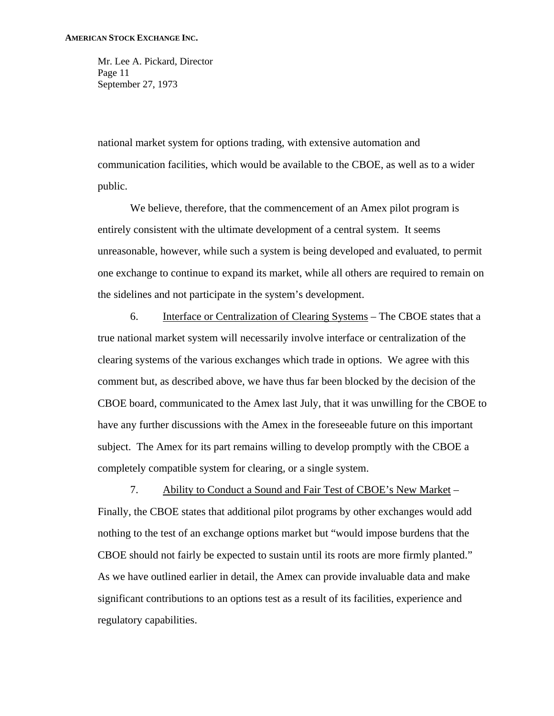Mr. Lee A. Pickard, Director Page 11 September 27, 1973

national market system for options trading, with extensive automation and communication facilities, which would be available to the CBOE, as well as to a wider public.

We believe, therefore, that the commencement of an Amex pilot program is entirely consistent with the ultimate development of a central system. It seems unreasonable, however, while such a system is being developed and evaluated, to permit one exchange to continue to expand its market, while all others are required to remain on the sidelines and not participate in the system's development.

6. Interface or Centralization of Clearing Systems – The CBOE states that a true national market system will necessarily involve interface or centralization of the clearing systems of the various exchanges which trade in options. We agree with this comment but, as described above, we have thus far been blocked by the decision of the CBOE board, communicated to the Amex last July, that it was unwilling for the CBOE to have any further discussions with the Amex in the foreseeable future on this important subject. The Amex for its part remains willing to develop promptly with the CBOE a completely compatible system for clearing, or a single system.

7. Ability to Conduct a Sound and Fair Test of CBOE's New Market – Finally, the CBOE states that additional pilot programs by other exchanges would add nothing to the test of an exchange options market but "would impose burdens that the CBOE should not fairly be expected to sustain until its roots are more firmly planted." As we have outlined earlier in detail, the Amex can provide invaluable data and make significant contributions to an options test as a result of its facilities, experience and regulatory capabilities.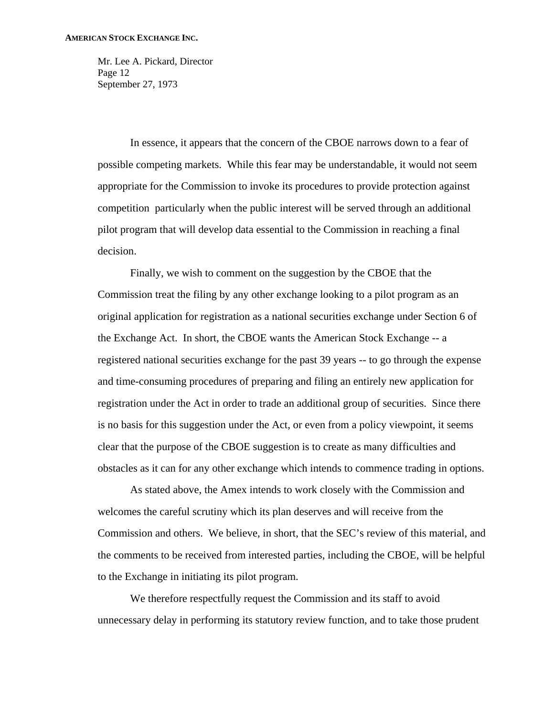Mr. Lee A. Pickard, Director Page 12 September 27, 1973

In essence, it appears that the concern of the CBOE narrows down to a fear of possible competing markets. While this fear may be understandable, it would not seem appropriate for the Commission to invoke its procedures to provide protection against competition particularly when the public interest will be served through an additional pilot program that will develop data essential to the Commission in reaching a final decision.

Finally, we wish to comment on the suggestion by the CBOE that the Commission treat the filing by any other exchange looking to a pilot program as an original application for registration as a national securities exchange under Section 6 of the Exchange Act. In short, the CBOE wants the American Stock Exchange -- a registered national securities exchange for the past 39 years -- to go through the expense and time-consuming procedures of preparing and filing an entirely new application for registration under the Act in order to trade an additional group of securities. Since there is no basis for this suggestion under the Act, or even from a policy viewpoint, it seems clear that the purpose of the CBOE suggestion is to create as many difficulties and obstacles as it can for any other exchange which intends to commence trading in options.

As stated above, the Amex intends to work closely with the Commission and welcomes the careful scrutiny which its plan deserves and will receive from the Commission and others. We believe, in short, that the SEC's review of this material, and the comments to be received from interested parties, including the CBOE, will be helpful to the Exchange in initiating its pilot program.

We therefore respectfully request the Commission and its staff to avoid unnecessary delay in performing its statutory review function, and to take those prudent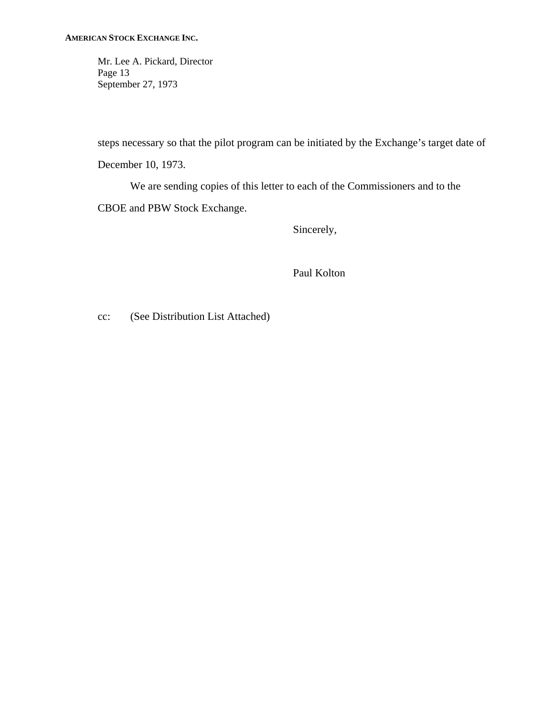Mr. Lee A. Pickard, Director Page 13 September 27, 1973

steps necessary so that the pilot program can be initiated by the Exchange's target date of December 10, 1973.

We are sending copies of this letter to each of the Commissioners and to the CBOE and PBW Stock Exchange.

Sincerely,

Paul Kolton

cc: (See Distribution List Attached)